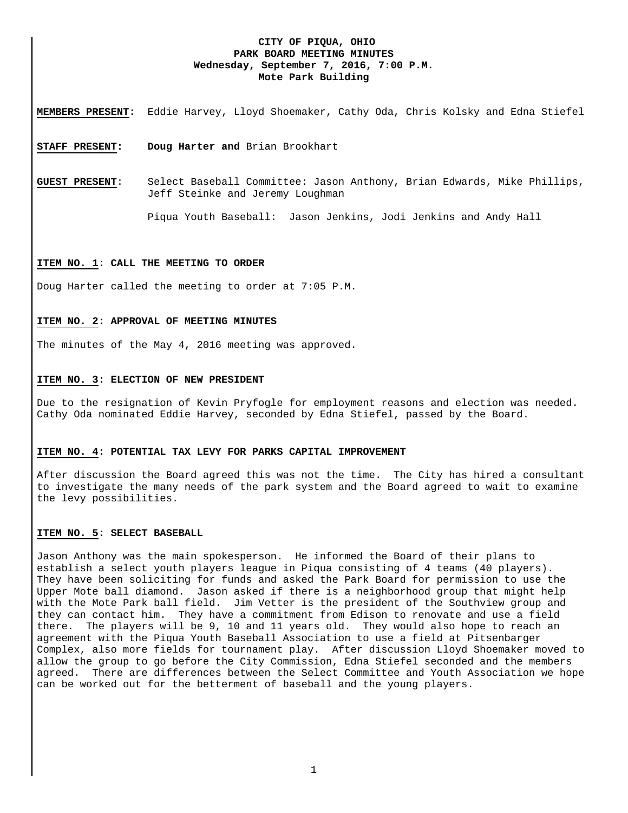# **CITY OF PIQUA, OHIO PARK BOARD MEETING MINUTES Wednesday, September 7, 2016, 7:00 P.M. Mote Park Building**

**MEMBERS PRESENT:** Eddie Harvey, Lloyd Shoemaker, Cathy Oda, Chris Kolsky and Edna Stiefel

**STAFF PRESENT: Doug Harter and** Brian Brookhart

**GUEST PRESENT**: Select Baseball Committee: Jason Anthony, Brian Edwards, Mike Phillips, Jeff Steinke and Jeremy Loughman

Piqua Youth Baseball: Jason Jenkins, Jodi Jenkins and Andy Hall

#### **ITEM NO. 1: CALL THE MEETING TO ORDER**

Doug Harter called the meeting to order at 7:05 P.M.

## **ITEM NO. 2: APPROVAL OF MEETING MINUTES**

The minutes of the May 4, 2016 meeting was approved.

## **ITEM NO. 3: ELECTION OF NEW PRESIDENT**

Due to the resignation of Kevin Pryfogle for employment reasons and election was needed. Cathy Oda nominated Eddie Harvey, seconded by Edna Stiefel, passed by the Board.

## **ITEM NO. 4: POTENTIAL TAX LEVY FOR PARKS CAPITAL IMPROVEMENT**

After discussion the Board agreed this was not the time. The City has hired a consultant to investigate the many needs of the park system and the Board agreed to wait to examine the levy possibilities.

#### **ITEM NO. 5: SELECT BASEBALL**

Jason Anthony was the main spokesperson. He informed the Board of their plans to establish a select youth players league in Piqua consisting of 4 teams (40 players). They have been soliciting for funds and asked the Park Board for permission to use the Upper Mote ball diamond. Jason asked if there is a neighborhood group that might help with the Mote Park ball field. Jim Vetter is the president of the Southview group and they can contact him. They have a commitment from Edison to renovate and use a field there. The players will be 9, 10 and 11 years old. They would also hope to reach an agreement with the Piqua Youth Baseball Association to use a field at Pitsenbarger Complex, also more fields for tournament play. After discussion Lloyd Shoemaker moved to allow the group to go before the City Commission, Edna Stiefel seconded and the members agreed. There are differences between the Select Committee and Youth Association we hope can be worked out for the betterment of baseball and the young players.